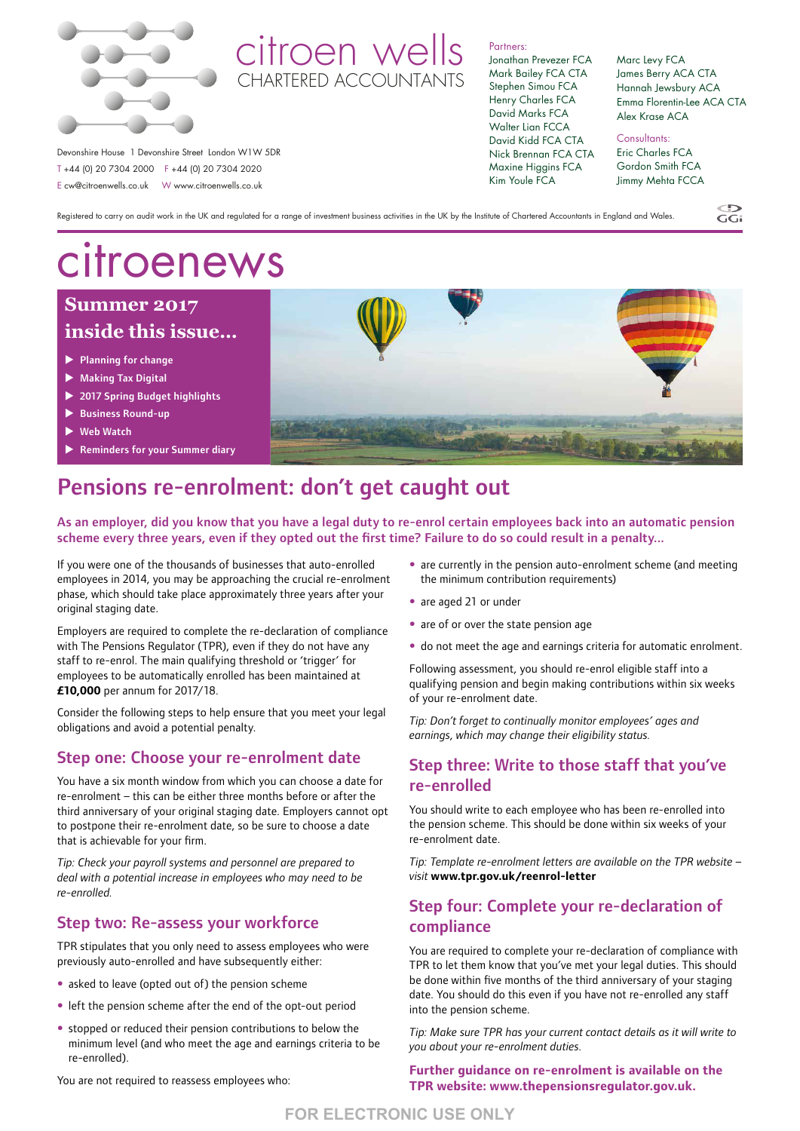

## citroen wells CHARTERED ACCOUNTANTS

Partners: Jonathan Prevezer FCA

Mark Bailey FCA CTA Stephen Simou FCA Henry Charles FCA David Marks FCA Walter Lian FCCA David Kidd FCA CTA Nick Brennan FCA CTA Maxine Higgins FCA Kim Youle FCA

Marc Levy FCA James Berry ACA CTA Hannah Jewsbury ACA Emma Florentin-Lee ACA CTA Alex Krase ACA

Consultants: Eric Charles FCA Gordon Smith FCA Jimmy Mehta FCCA

Registered to carry on audit work in the UK and regulated for a range of investment business activities in the UK by the Institute of Chartered Accountants in England and Wales.

# citroenews

Devonshire House 1 Devonshire Street London W1W 5DR T +44 (0) 20 7304 2000 F +44 (0) 20 7304 2020 E cw@citroenwells.co.uk W www.citroenwells.co.uk

## **Summer 2017 inside this issue…**

- $\blacktriangleright$  Planning for change
- $\blacktriangleright$  Making Tax Digital
- ▶ 2017 Spring Budget highlights
- **Business Round-up**
- Web Watch
- Reminders for your Summer diary



## Pensions re-enrolment: don't get caught out

As an employer, did you know that you have a legal duty to re-enrol certain employees back into an automatic pension scheme every three years, even if they opted out the first time? Failure to do so could result in a penalty...

If you were one of the thousands of businesses that auto-enrolled employees in 2014, you may be approaching the crucial re-enrolment phase, which should take place approximately three years after your original staging date.

Employers are required to complete the re-declaration of compliance with The Pensions Regulator (TPR), even if they do not have any staff to re-enrol. The main qualifying threshold or 'trigger' for employees to be automatically enrolled has been maintained at **£10,000** per annum for 2017/18.

Consider the following steps to help ensure that you meet your legal obligations and avoid a potential penalty.

#### Step one: Choose your re-enrolment date

You have a six month window from which you can choose a date for re-enrolment – this can be either three months before or after the third anniversary of your original staging date. Employers cannot opt to postpone their re-enrolment date, so be sure to choose a date that is achievable for your firm.

*Tip: Check your payroll systems and personnel are prepared to deal with a potential increase in employees who may need to be re-enrolled.*

#### Step two: Re-assess your workforce

TPR stipulates that you only need to assess employees who were previously auto-enrolled and have subsequently either:

- asked to leave (opted out of) the pension scheme
- left the pension scheme after the end of the opt-out period
- stopped or reduced their pension contributions to below the minimum level (and who meet the age and earnings criteria to be re-enrolled).

You are not required to reassess employees who:

- are currently in the pension auto-enrolment scheme (and meeting the minimum contribution requirements)
- are aged 21 or under
- are of or over the state pension age
- do not meet the age and earnings criteria for automatic enrolment.

Following assessment, you should re-enrol eligible staff into a qualifying pension and begin making contributions within six weeks of your re-enrolment date.

*Tip: Don't forget to continually monitor employees' ages and earnings*, *which may change their eligibility status.* 

### Step three: Write to those staff that you've re-enrolled

You should write to each employee who has been re-enrolled into the pension scheme. This should be done within six weeks of your re-enrolment date.

*Tip: Template re-enrolment letters are available on the TPR website – visit* **www.tpr.gov.uk/reenrol-letter**

### Step four: Complete your re-declaration of compliance

You are required to complete your re-declaration of compliance with TPR to let them know that you've met your legal duties. This should be done within five months of the third anniversary of your staging date. You should do this even if you have not re-enrolled any staff into the pension scheme.

*Tip: Make sure TPR has your current contact details as it will write to you about your re-enrolment duties.*

**Further guidance on re-enrolment is available on the TPR website: www.thepensionsregulator.gov.uk.** 

 $\widetilde{GC}$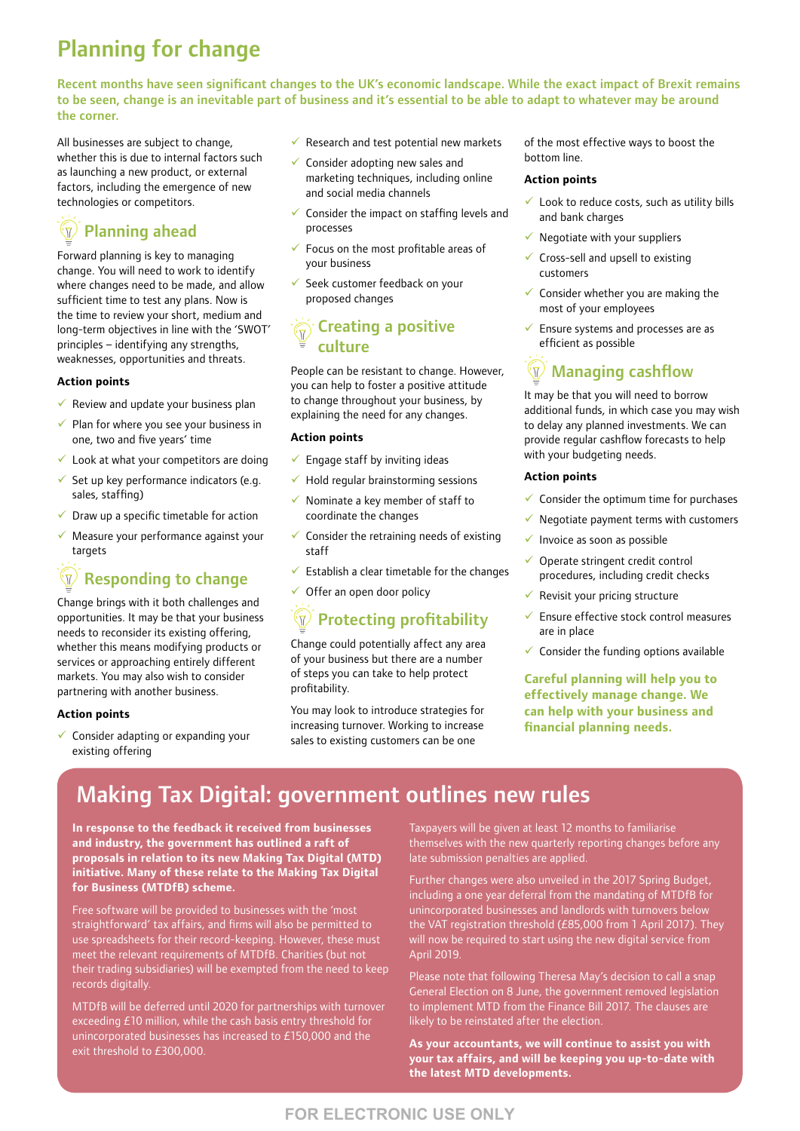## Planning for change

Recent months have seen significant changes to the UK's economic landscape. While the exact impact of Brexit remains to be seen, change is an inevitable part of business and it's essential to be able to adapt to whatever may be around the corner.

All businesses are subject to change, whether this is due to internal factors such as launching a new product, or external factors, including the emergence of new technologies or competitors.

#### $\mathcal{H}$ Planning ahead

Forward planning is key to managing change. You will need to work to identify where changes need to be made, and allow sufficient time to test any plans. Now is the time to review your short, medium and long-term objectives in line with the 'SWOT' principles – identifying any strengths, weaknesses, opportunities and threats.

#### **Action points**

- $\checkmark$  Review and update your business plan
- $\checkmark$  Plan for where you see your business in one, two and five years' time
- $\checkmark$  Look at what your competitors are doing
- Set up key performance indicators (e.g. sales, staffing)
- $\checkmark$  Draw up a specific timetable for action
- Measure your performance against your targets

## Responding to change

Change brings with it both challenges and opportunities. It may be that your business needs to reconsider its existing offering, whether this means modifying products or services or approaching entirely different markets. You may also wish to consider partnering with another business.

#### **Action points**

 $\checkmark$  Consider adapting or expanding your existing offering

- $\checkmark$  Research and test potential new markets
- Consider adopting new sales and marketing techniques, including online and social media channels
- Consider the impact on staffing levels and processes
- 9 Focus on the most profitable areas of your business
- Seek customer feedback on your proposed changes

### Creating a positive culture

People can be resistant to change. However, you can help to foster a positive attitude to change throughout your business, by explaining the need for any changes.

#### **Action points**

- $\checkmark$  Engage staff by inviting ideas
- $\checkmark$  Hold regular brainstorming sessions
- Nominate a key member of staff to coordinate the changes
- Consider the retraining needs of existing staff
- $\checkmark$  Establish a clear timetable for the changes
- $\checkmark$  Offer an open door policy

## **Protecting profitability**

Change could potentially affect any area of your business but there are a number of steps you can take to help protect profitability.

You may look to introduce strategies for increasing turnover. Working to increase sales to existing customers can be one

of the most effective ways to boost the bottom line.

#### **Action points**

- $\checkmark$  Look to reduce costs, such as utility bills and bank charges
- Negotiate with your suppliers
- 9 Cross-sell and upsell to existing customers
- $\checkmark$  Consider whether you are making the most of your employees
- 9 Ensure systems and processes are as efficient as possible

## $\sqrt[m]{\mathcal{N}}$  Managing cashflow

It may be that you will need to borrow additional funds, in which case you may wish to delay any planned investments. We can provide regular cashflow forecasts to help with your budgeting needs.

#### **Action points**

- $\checkmark$  Consider the optimum time for purchases
- Negotiate payment terms with customers
- $\checkmark$  Invoice as soon as possible
- Operate stringent credit control procedures, including credit checks
- $\checkmark$  Revisit your pricing structure
- Ensure effective stock control measures are in place
- $\checkmark$  Consider the funding options available

**Careful planning will help you to effectively manage change. We can help with your business and financial planning needs.**

## Making Tax Digital: government outlines new rules

**In response to the feedback it received from businesses and industry, the government has outlined a raft of proposals in relation to its new Making Tax Digital (MTD) initiative. Many of these relate to the Making Tax Digital for Business (MTDfB) scheme.**

Free software will be provided to businesses with the 'most straightforward' tax affairs, and firms will also be permitted to use spreadsheets for their record-keeping. However, these must meet the relevant requirements of MTDfB. Charities (but not their trading subsidiaries) will be exempted from the need to keep records digitally.

MTDfB will be deferred until 2020 for partnerships with turnover exceeding £10 million, while the cash basis entry threshold for unincorporated businesses has increased to £150,000 and the exit threshold to £300,000.

Taxpayers will be given at least 12 months to familiarise themselves with the new quarterly reporting changes before any late submission penalties are applied.

Further changes were also unveiled in the 2017 Spring Budget, including a one year deferral from the mandating of MTDfB for unincorporated businesses and landlords with turnovers below the VAT registration threshold (£85,000 from 1 April 2017). They will now be required to start using the new digital service from April 2019.

Please note that following Theresa May's decision to call a snap General Election on 8 June, the government removed legislation to implement MTD from the Finance Bill 2017. The clauses are likely to be reinstated after the election.

**As your accountants, we will continue to assist you with your tax affairs, and will be keeping you up-to-date with the latest MTD developments.**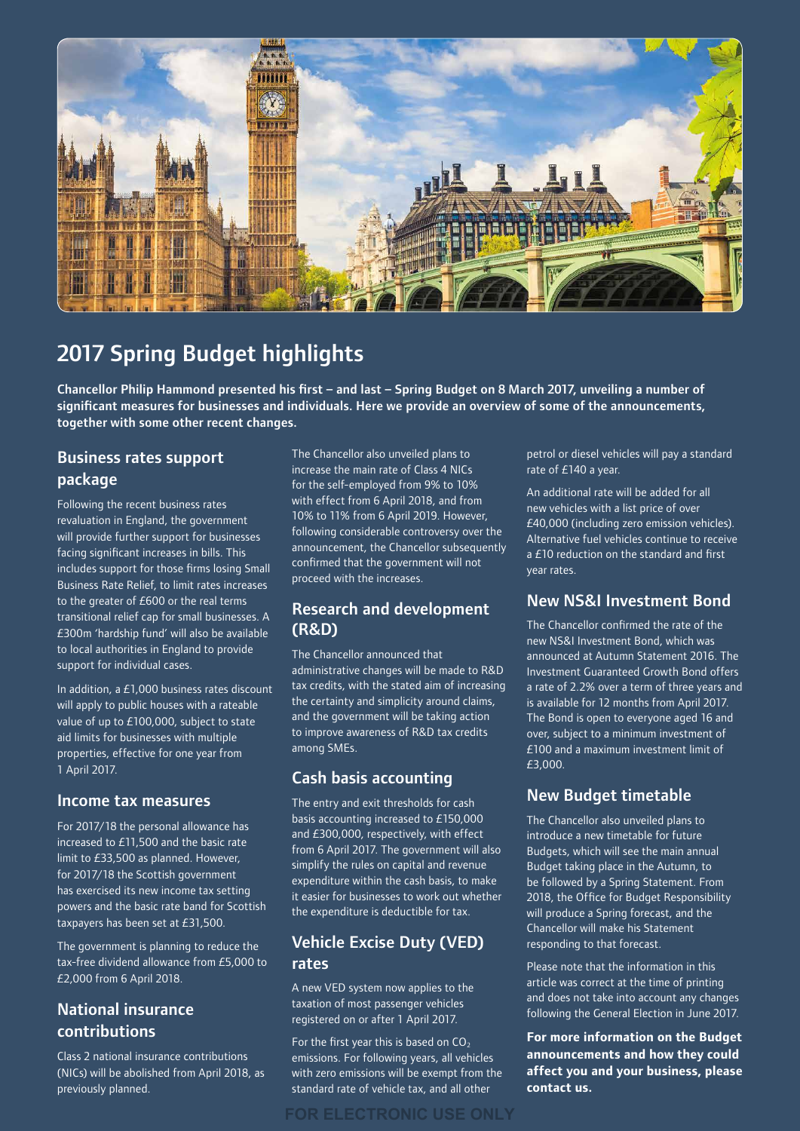

## 2017 Spring Budget highlights

Chancellor Philip Hammond presented his first – and last – Spring Budget on 8 March 2017, unveiling a number of significant measures for businesses and individuals. Here we provide an overview of some of the announcements, together with some other recent changes.

### Business rates support package

Following the recent business rates revaluation in England, the government will provide further support for businesses facing significant increases in bills. This includes support for those firms losing Small Business Rate Relief, to limit rates increases to the greater of £600 or the real terms transitional relief cap for small businesses. A £300m 'hardship fund' will also be available to local authorities in England to provide support for individual cases.

In addition, a £1,000 business rates discount will apply to public houses with a rateable value of up to £100,000, subject to state aid limits for businesses with multiple properties, effective for one year from 1 April 2017.

#### Income tax measures

For 2017/18 the personal allowance has increased to £11,500 and the basic rate limit to £33,500 as planned. However, for 2017/18 the Scottish government has exercised its new income tax setting powers and the basic rate band for Scottish taxpayers has been set at £31,500.

The government is planning to reduce the tax-free dividend allowance from £5,000 to £2,000 from 6 April 2018.

## National insurance contributions

Class 2 national insurance contributions (NICs) will be abolished from April 2018, as previously planned.

The Chancellor also unveiled plans to increase the main rate of Class 4 NICs for the self-employed from 9% to 10% with effect from 6 April 2018, and from 10% to 11% from 6 April 2019. However, following considerable controversy over the announcement, the Chancellor subsequently confirmed that the government will not proceed with the increases.

### Research and development (R&D)

The Chancellor announced that administrative changes will be made to R&D tax credits, with the stated aim of increasing the certainty and simplicity around claims, and the government will be taking action to improve awareness of R&D tax credits among SMEs.

## Cash basis accounting

The entry and exit thresholds for cash basis accounting increased to £150,000 and £300,000, respectively, with effect from 6 April 2017. The government will also simplify the rules on capital and revenue expenditure within the cash basis, to make it easier for businesses to work out whether the expenditure is deductible for tax.

## Vehicle Excise Duty (VED) rates

A new VED system now applies to the taxation of most passenger vehicles registered on or after 1 April 2017.

For the first year this is based on  $CO<sub>2</sub>$ emissions. For following years, all vehicles with zero emissions will be exempt from the standard rate of vehicle tax, and all other

petrol or diesel vehicles will pay a standard rate of £140 a year.

An additional rate will be added for all new vehicles with a list price of over £40,000 (including zero emission vehicles). Alternative fuel vehicles continue to receive a £10 reduction on the standard and first year rates.

## New NS&I Investment Bond

The Chancellor confirmed the rate of the new NS&I Investment Bond, which was announced at Autumn Statement 2016. The Investment Guaranteed Growth Bond offers a rate of 2.2% over a term of three years and is available for 12 months from April 2017. The Bond is open to everyone aged 16 and over, subject to a minimum investment of £100 and a maximum investment limit of £3,000.

## New Budget timetable

The Chancellor also unveiled plans to introduce a new timetable for future Budgets, which will see the main annual Budget taking place in the Autumn, to be followed by a Spring Statement. From 2018, the Office for Budget Responsibility will produce a Spring forecast, and the Chancellor will make his Statement responding to that forecast.

Please note that the information in this article was correct at the time of printing and does not take into account any changes following the General Election in June 2017.

**For more information on the Budget announcements and how they could affect you and your business, please contact us.**